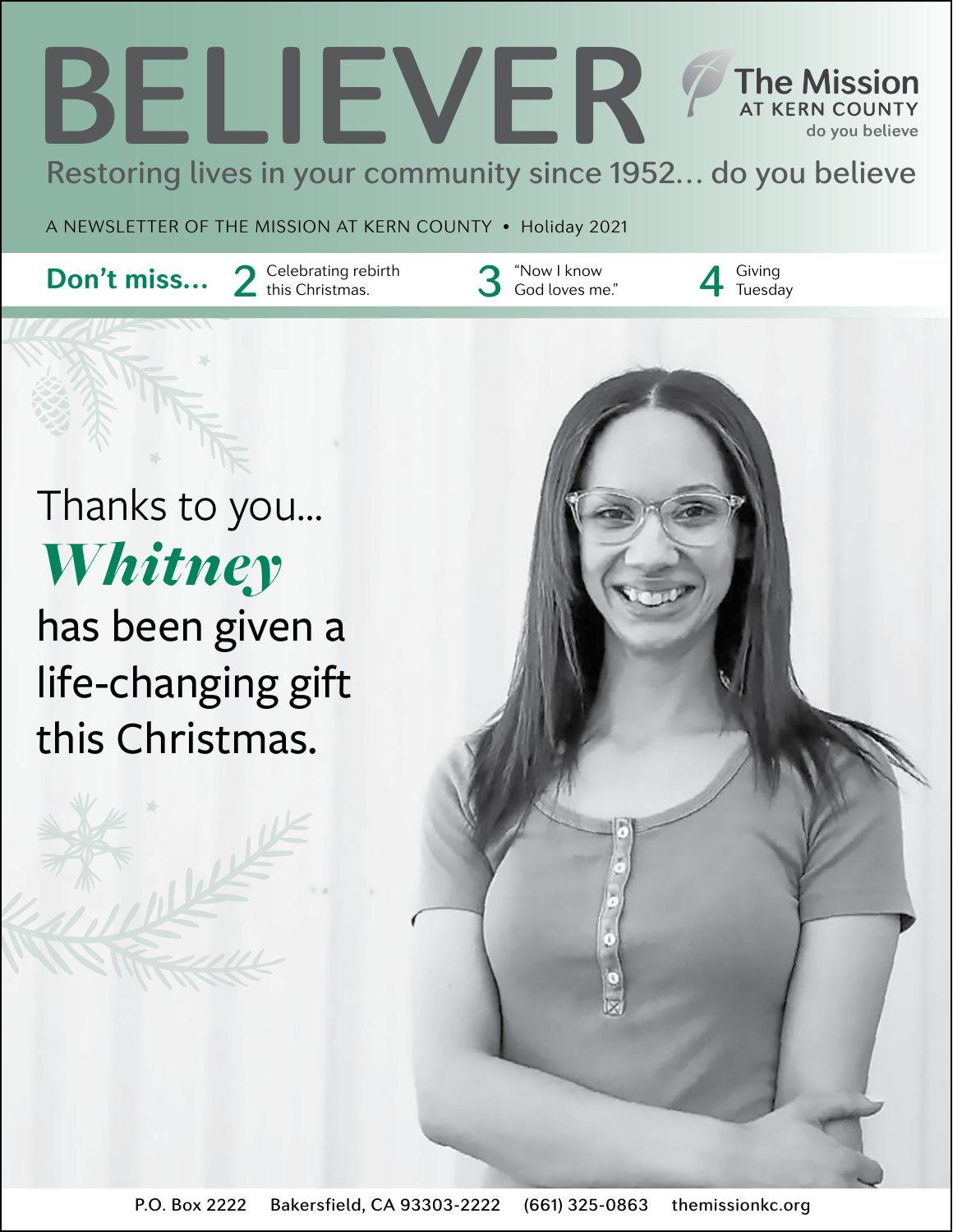### BELIEVER **The Mission AT KERN COUNTY** do you believe Restoring lives in your community since 1952… do you believe

A NEWSLETTER OF THE MISSION AT KERN COUNTY • Holiday 2021

**Don't miss...** 2 Celebrating rebirth 3 "Now I know  $\overline{\mathbf{S}}$  God loves me

"Now I know<br>God loves me."<br>A Tuesda

**Tuesday** 

Thanks to you… *Whitney* has been given a life-changing gift this Christmas.

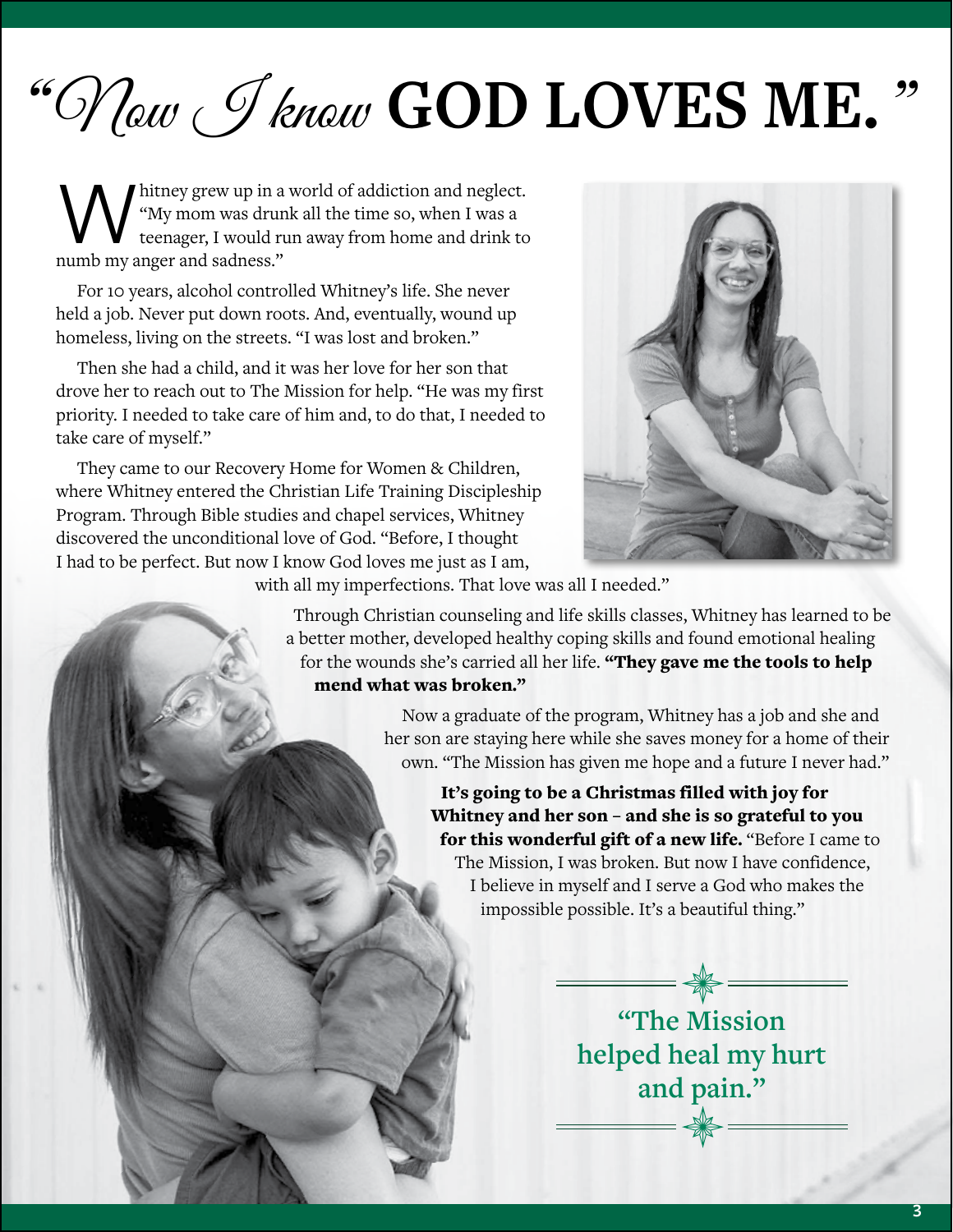# "Now *J* know **GOD LOVES ME.**"

Whitney grew up in a world of addiction and neglect.<br>
"My mom was drunk all the time so, when I was a<br>
teenager, I would run away from home and drink to<br>
numb my anger and sadness." "My mom was drunk all the time so, when I was a teenager, I would run away from home and drink to numb my anger and sadness."

For 10 years, alcohol controlled Whitney's life. She never held a job. Never put down roots. And, eventually, wound up homeless, living on the streets. "I was lost and broken."

Then she had a child, and it was her love for her son that drove her to reach out to The Mission for help. "He was my first priority. I needed to take care of him and, to do that, I needed to take care of myself."

They came to our Recovery Home for Women & Children, where Whitney entered the Christian Life Training Discipleship Program. Through Bible studies and chapel services, Whitney discovered the unconditional love of God. "Before, I thought I had to be perfect. But now I know God loves me just as I am,



with all my imperfections. That love was all I needed."

Through Christian counseling and life skills classes, Whitney has learned to be a better mother, developed healthy coping skills and found emotional healing for the wounds she's carried all her life. "They gave me the tools to help mend what was broken."

> Now a graduate of the program, Whitney has a job and she and her son are staying here while she saves money for a home of their own. "The Mission has given me hope and a future I never had."

It's going to be a Christmas filled with joy for Whitney and her son – and she is so grateful to you for this wonderful gift of a new life. "Before I came to The Mission, I was broken. But now I have confidence, I believe in myself and I serve a God who makes the impossible possible. It's a beautiful thing."

> **"The Mission helped heal my hurt and pain."**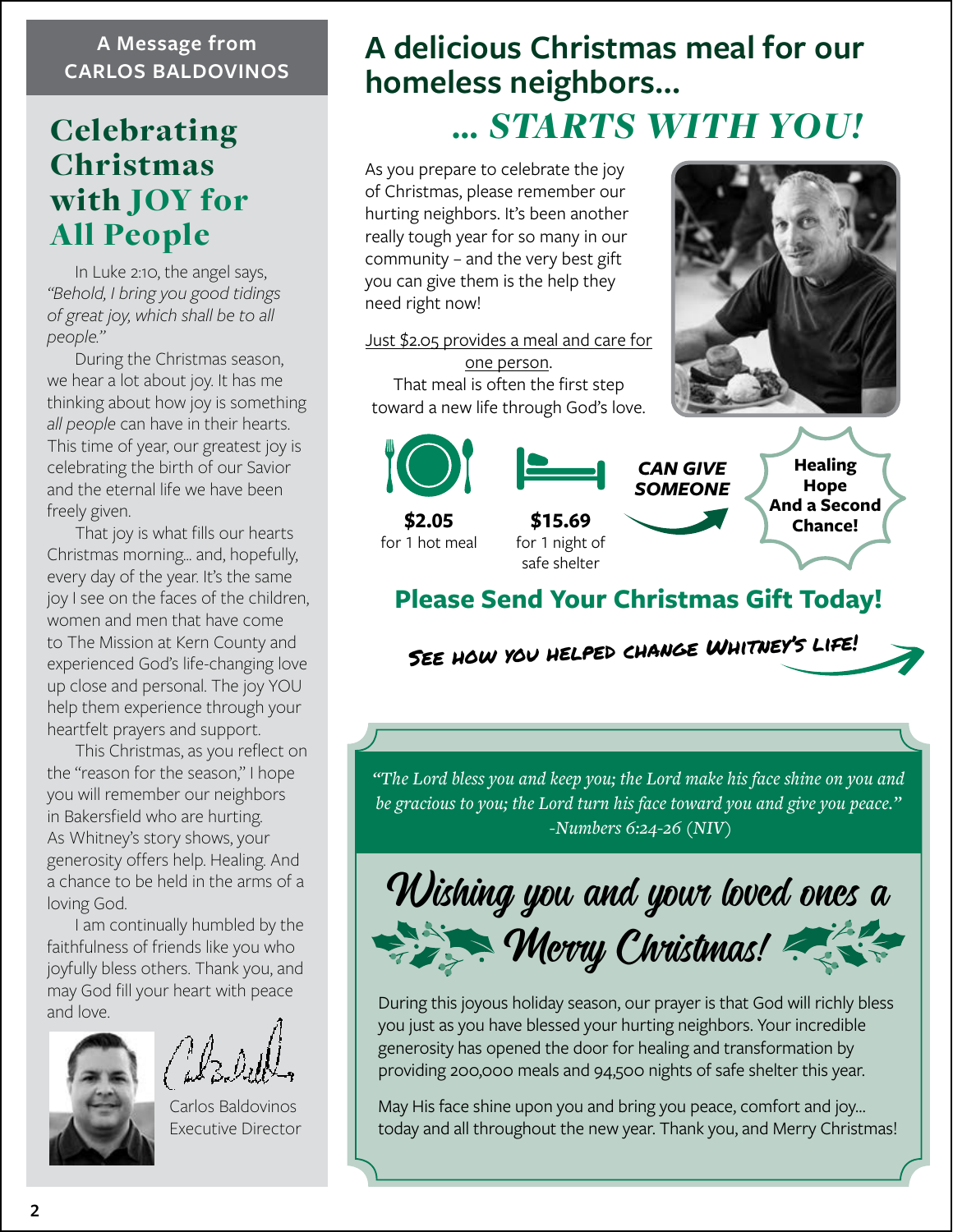#### **A Message from CARLOS BALDOVINOS**

# Celebrating Christmas with JOY for All People

In Luke 2:10, the angel says, *"Behold, I bring you good tidings of great joy, which shall be to all people."*

During the Christmas season, we hear a lot about joy. It has me thinking about how joy is something *all people* can have in their hearts. This time of year, our greatest joy is celebrating the birth of our Savior and the eternal life we have been freely given.

That joy is what fills our hearts Christmas morning… and, hopefully, every day of the year. It's the same joy I see on the faces of the children, women and men that have come to The Mission at Kern County and experienced God's life-changing love up close and personal. The joy YOU help them experience through your heartfelt prayers and support.

This Christmas, as you reflect on the "reason for the season," I hope you will remember our neighbors in Bakersfield who are hurting. As Whitney's story shows, your generosity offers help. Healing. And a chance to be held in the arms of a loving God.

I am continually humbled by the faithfulness of friends like you who joyfully bless others. Thank you, and may God fill your heart with peace and love.

Carlos Baldovinos Executive Director

# **A delicious Christmas meal for our homeless neighbors…**

# *… STARTS WITH YOU!*

As you prepare to celebrate the joy of Christmas, please remember our hurting neighbors. It's been another really tough year for so many in our community – and the very best gift you can give them is the help they need right now!

Just \$2.05 provides a meal and care for one person. That meal is often the first step toward a new life through God's love.



**\$2.05** for 1 hot meal **Healing Hope And a Second \$15.69 Chance!** for 1 night of safe shelter *CAN GIVE SOMEONE*

## **Please Send Your Christmas Gift Today!**

See how you helped change Whitney's life!

*"The Lord bless you and keep you; the Lord make his face shine on you and be gracious to you; the Lord turn his face toward you and give you peace." -Numbers 6:24-26 (NIV)*

Wishing you and your loved ones a Merry Christmas!

During this joyous holiday season, our prayer is that God will richly bless you just as you have blessed your hurting neighbors. Your incredible generosity has opened the door for healing and transformation by providing 200,000 meals and 94,500 nights of safe shelter this year.

May His face shine upon you and bring you peace, comfort and joy… today and all throughout the new year. Thank you, and Merry Christmas!